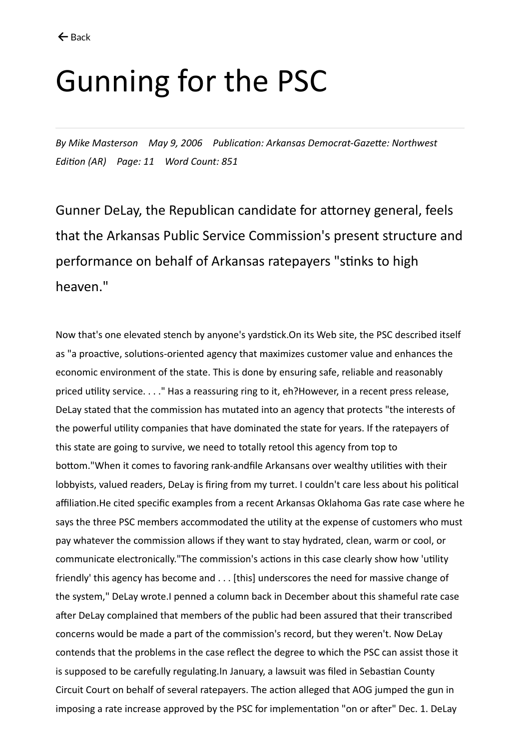## Gunning for the PSC

*By Mike Masterson May 9, 2006 Publication: Arkansas Democrat-Gazette: Northwest Edition (AR) Page: 11 Word Count: 851*

Gunner DeLay, the Republican candidate for attorney general, feels that the Arkansas Public Service Commission's present structure and performance on behalf of Arkansas ratepayers "stinks to high heaven."

Now that's one elevated stench by anyone's yardstick.On its Web site, the PSC described itself as "a proactive, solutions-oriented agency that maximizes customer value and enhances the economic environment of the state. This is done by ensuring safe, reliable and reasonably priced utility service. . . ." Has a reassuring ring to it, eh?However, in a recent press release, DeLay stated that the commission has mutated into an agency that protects "the interests of the powerful utility companies that have dominated the state for years. If the ratepayers of this state are going to survive, we need to totally retool this agency from top to bottom."When it comes to favoring rank-andfile Arkansans over wealthy utilities with their lobbyists, valued readers, DeLay is firing from my turret. I couldn't care less about his political affiliation.He cited specific examples from a recent Arkansas Oklahoma Gas rate case where he says the three PSC members accommodated the utility at the expense of customers who must pay whatever the commission allows if they want to stay hydrated, clean, warm or cool, or communicate electronically."The commission's actions in this case clearly show how 'utility friendly' this agency has become and . . . [this] underscores the need for massive change of the system," DeLay wrote.I penned a column back in December about this shameful rate case after DeLay complained that members of the public had been assured that their transcribed concerns would be made a part of the commission's record, but they weren't. Now DeLay contends that the problems in the case reflect the degree to which the PSC can assist those it is supposed to be carefully regulating.In January, a lawsuit was filed in Sebastian County Circuit Court on behalf of several ratepayers. The action alleged that AOG jumped the gun in imposing a rate increase approved by the PSC for implementation "on or after" Dec. 1. DeLay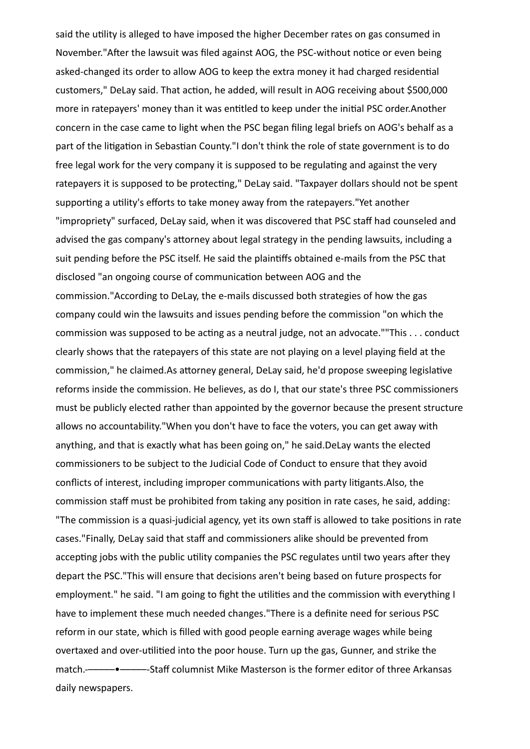said the utility is alleged to have imposed the higher December rates on gas consumed in November."After the lawsuit was filed against AOG, the PSC-without notice or even being asked-changed its order to allow AOG to keep the extra money it had charged residential customers," DeLay said. That action, he added, will result in AOG receiving about \$500,000 more in ratepayers' money than it was entitled to keep under the initial PSC order.Another concern in the case came to light when the PSC began filing legal briefs on AOG's behalf as a part of the litigation in Sebastian County."I don't think the role of state government is to do free legal work for the very company it is supposed to be regulating and against the very ratepayers it is supposed to be protecting," DeLay said. "Taxpayer dollars should not be spent supporting a utility's efforts to take money away from the ratepayers."Yet another "impropriety" surfaced, DeLay said, when it was discovered that PSC staff had counseled and advised the gas company's attorney about legal strategy in the pending lawsuits, including a suit pending before the PSC itself. He said the plaintiffs obtained e-mails from the PSC that disclosed "an ongoing course of communication between AOG and the commission."According to DeLay, the e-mails discussed both strategies of how the gas company could win the lawsuits and issues pending before the commission "on which the commission was supposed to be acting as a neutral judge, not an advocate.""This . . . conduct clearly shows that the ratepayers of this state are not playing on a level playing field at the commission," he claimed.As attorney general, DeLay said, he'd propose sweeping legislative reforms inside the commission. He believes, as do I, that our state's three PSC commissioners must be publicly elected rather than appointed by the governor because the present structure allows no accountability."When you don't have to face the voters, you can get away with anything, and that is exactly what has been going on," he said.DeLay wants the elected commissioners to be subject to the Judicial Code of Conduct to ensure that they avoid conflicts of interest, including improper communications with party litigants.Also, the commission staff must be prohibited from taking any position in rate cases, he said, adding: "The commission is a quasi-judicial agency, yet its own staff is allowed to take positions in rate cases."Finally, DeLay said that staff and commissioners alike should be prevented from accepting jobs with the public utility companies the PSC regulates until two years after they depart the PSC."This will ensure that decisions aren't being based on future prospects for employment." he said. "I am going to fight the utilities and the commission with everything I have to implement these much needed changes."There is a definite need for serious PSC reform in our state, which is filled with good people earning average wages while being overtaxed and over-utilitied into the poor house. Turn up the gas, Gunner, and strike the match.-–––––•–––––-Staff columnist Mike Masterson is the former editor of three Arkansas daily newspapers.